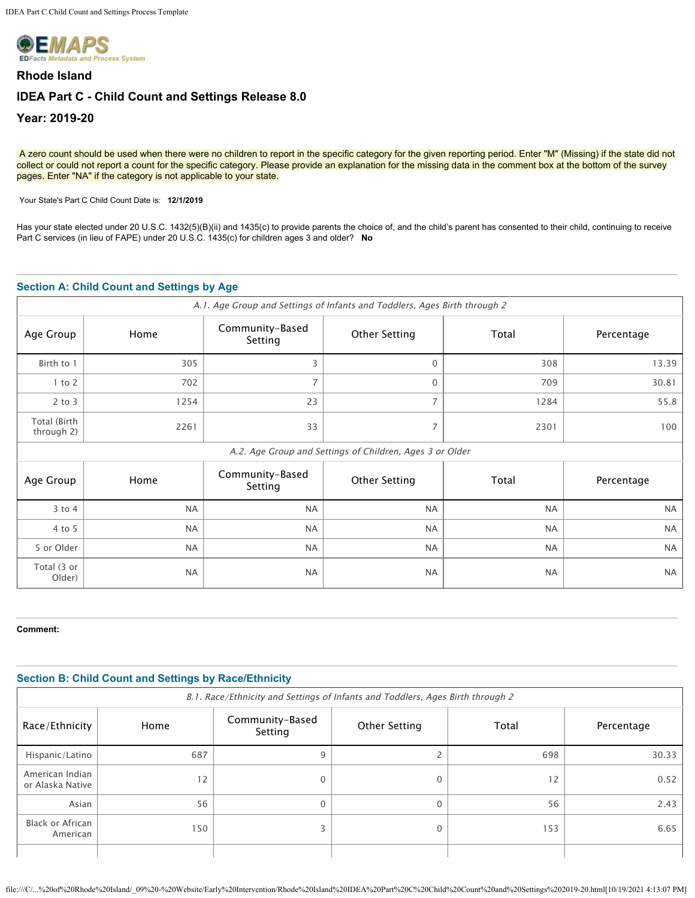

# **Rhode Island IDEA Part C - Child Count and Settings Release 8.0 Year: 2019-20**

A zero count should be used when there were no children to report in the specific category for the given reporting period. Enter "M" (Missing) if the state did not collect or could not report a count for the specific category. Please provide an explanation for the missing data in the comment box at the bottom of the survey pages. Enter "NA" if the category is not applicable to your state.

Your State's Part C Child Count Date is: **12/1/2019** 

Has your state elected under 20 U.S.C. 1432(5)(B)(ii) and 1435(c) to provide parents the choice of, and the child's parent has consented to their child, continuing to receive Part C services (in lieu of FAPE) under 20 U.S.C. 1435(c) for children ages 3 and older? **No**

# **Section A: Child Count and Settings by Age**

| A.1. Age Group and Settings of Infants and Toddlers, Ages Birth through 2 |           |                            |                                                          |           |            |
|---------------------------------------------------------------------------|-----------|----------------------------|----------------------------------------------------------|-----------|------------|
| Age Group                                                                 | Home      | Community-Based<br>Setting | <b>Other Setting</b>                                     | Total     | Percentage |
| Birth to 1                                                                | 305       | 3                          | $\Omega$                                                 | 308       | 13.39      |
| $1$ to $2$                                                                | 702       | $\overline{7}$             | $\mathbf{0}$                                             | 709       | 30.81      |
| $2$ to $3$                                                                | 1254      | 23                         | $\overline{7}$                                           | 1284      | 55.8       |
| Total (Birth<br>through 2)                                                | 2261      | 33                         | $\overline{7}$                                           | 2301      | 100        |
|                                                                           |           |                            | A.2. Age Group and Settings of Children, Ages 3 or Older |           |            |
| Age Group                                                                 | Home      | Community-Based<br>Setting | <b>Other Setting</b>                                     | Total     | Percentage |
| $3$ to $4$                                                                | <b>NA</b> | <b>NA</b>                  | <b>NA</b>                                                | <b>NA</b> | <b>NA</b>  |
| 4 to 5                                                                    | <b>NA</b> | <b>NA</b>                  | <b>NA</b>                                                | <b>NA</b> | <b>NA</b>  |
| 5 or Older                                                                | <b>NA</b> | <b>NA</b>                  | <b>NA</b>                                                | <b>NA</b> | <b>NA</b>  |
| Total (3 or<br>Older)                                                     | <b>NA</b> | <b>NA</b>                  | <b>NA</b>                                                | <b>NA</b> | <b>NA</b>  |

# **Comment:**

| <b>Section B: Child Count and Settings by Race/Ethnicity</b>                   |      |                            |               |       |            |
|--------------------------------------------------------------------------------|------|----------------------------|---------------|-------|------------|
| B.1. Race/Ethnicity and Settings of Infants and Toddlers, Ages Birth through 2 |      |                            |               |       |            |
| Race/Ethnicity                                                                 | Home | Community-Based<br>Setting | Other Setting | Total | Percentage |
| Hispanic/Latino                                                                | 687  | 9                          |               | 698   | 30.33      |
| American Indian<br>or Alaska Native                                            | 12   | 0                          | $\Omega$      | 12    | 0.52       |
| Asian                                                                          | 56   | $\Omega$                   | $\Omega$      | 56    | 2.43       |
| <b>Black or African</b><br>American                                            | 150  | 3                          | $\Omega$      | 153   | 6.65       |
|                                                                                |      |                            |               |       |            |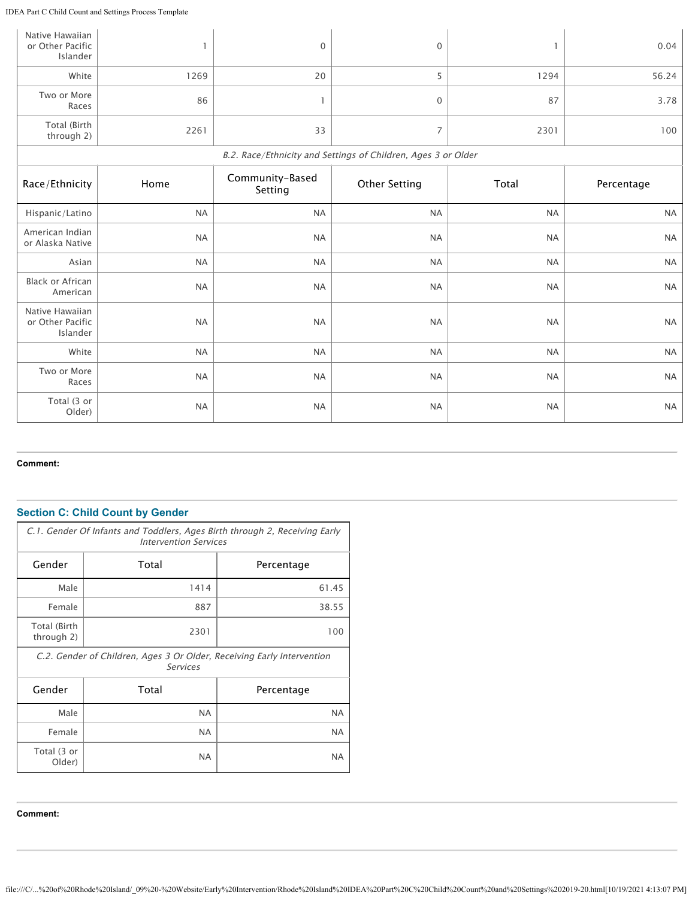### IDEA Part C Child Count and Settings Process Template

| Native Hawaiian<br>or Other Pacific<br>Islander |                                                               | 0               | $\mathbf{0}$         |           | 0.04       |  |
|-------------------------------------------------|---------------------------------------------------------------|-----------------|----------------------|-----------|------------|--|
| White                                           | 1269                                                          | 20              | 5                    | 1294      | 56.24      |  |
| Two or More<br>Races                            | 86                                                            |                 | $\mathbf{0}$         | 87        | 3.78       |  |
| Total (Birth<br>through 2)                      | 2261                                                          | 33              | $\overline{7}$       | 2301      | 100        |  |
|                                                 | B.2. Race/Ethnicity and Settings of Children, Ages 3 or Older |                 |                      |           |            |  |
| Race/Ethnicity                                  | Home                                                          | Community-Based | <b>Other Setting</b> | Total     | Percentage |  |
|                                                 |                                                               | Setting         |                      |           |            |  |
| Hispanic/Latino                                 | <b>NA</b>                                                     | <b>NA</b>       | <b>NA</b>            | <b>NA</b> | <b>NA</b>  |  |
| American Indian<br>or Alaska Native             | <b>NA</b>                                                     | <b>NA</b>       | <b>NA</b>            | <b>NA</b> | <b>NA</b>  |  |
| Asian                                           | $\sf NA$                                                      | <b>NA</b>       | <b>NA</b>            | <b>NA</b> | <b>NA</b>  |  |
| Black or African<br>American                    | <b>NA</b>                                                     | <b>NA</b>       | <b>NA</b>            | <b>NA</b> | <b>NA</b>  |  |

White NA NA NA NA NA

Races NA NA NA NA NA

Older) NA NA NA NA NA

# **Comment:**

Islander

Two or More

Total (3 or

# **Section C: Child Count by Gender**

|                            | C.1. Gender Of Infants and Toddlers, Ages Birth through 2, Receiving Early<br><b>Intervention Services</b> |            |  |  |
|----------------------------|------------------------------------------------------------------------------------------------------------|------------|--|--|
| Gender                     | Total                                                                                                      | Percentage |  |  |
| Male                       | 1414                                                                                                       | 61.45      |  |  |
| Female                     | 887                                                                                                        | 38.55      |  |  |
| Total (Birth<br>through 2) | 2301                                                                                                       | 100        |  |  |
|                            | C.2. Gender of Children, Ages 3 Or Older, Receiving Early Intervention<br><b>Services</b>                  |            |  |  |
| Gender                     | Total                                                                                                      | Percentage |  |  |
| Male                       | <b>NA</b>                                                                                                  | <b>NA</b>  |  |  |
| Female                     | <b>NA</b>                                                                                                  | <b>NA</b>  |  |  |
| Total (3 or<br>Older)      | NA.                                                                                                        | <b>NA</b>  |  |  |

**Comment:**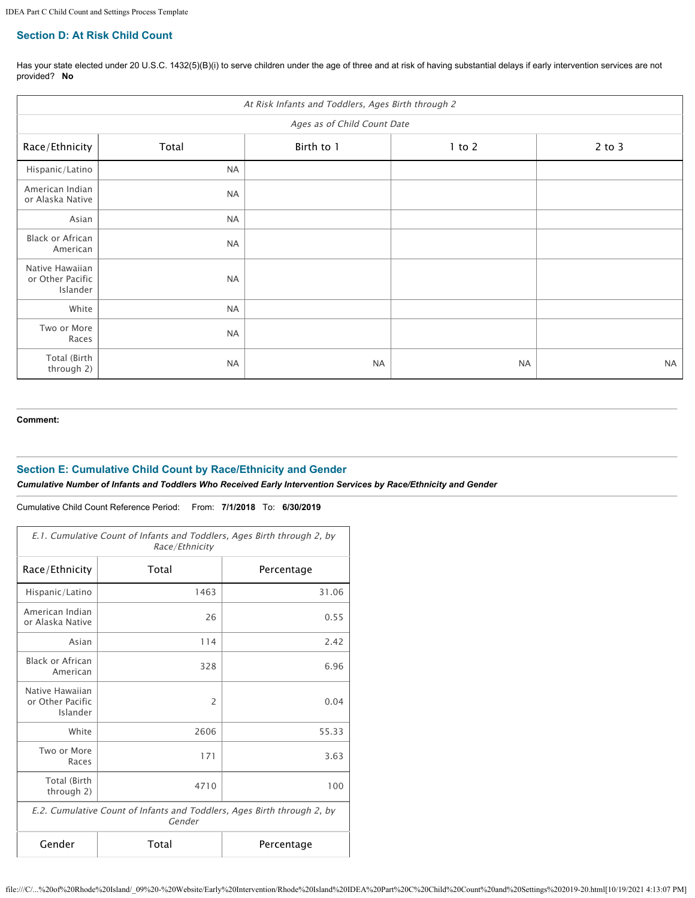# **Section D: At Risk Child Count**

Has your state elected under 20 U.S.C. 1432(5)(B)(i) to serve children under the age of three and at risk of having substantial delays if early intervention services are not provided? **No**

| At Risk Infants and Toddlers, Ages Birth through 2 |           |            |            |            |
|----------------------------------------------------|-----------|------------|------------|------------|
| Ages as of Child Count Date                        |           |            |            |            |
| Race/Ethnicity                                     | Total     | Birth to 1 | $1$ to $2$ | $2$ to $3$ |
| Hispanic/Latino                                    | <b>NA</b> |            |            |            |
| American Indian<br>or Alaska Native                | <b>NA</b> |            |            |            |
| Asian                                              | <b>NA</b> |            |            |            |
| Black or African<br>American                       | <b>NA</b> |            |            |            |
| Native Hawaiian<br>or Other Pacific<br>Islander    | <b>NA</b> |            |            |            |
| White                                              | <b>NA</b> |            |            |            |
| Two or More<br>Races                               | <b>NA</b> |            |            |            |
| Total (Birth<br>through 2)                         | <b>NA</b> | $\sf NA$   | $\sf NA$   | <b>NA</b>  |

**Comment:**

# **Section E: Cumulative Child Count by Race/Ethnicity and Gender**

*Cumulative Number of Infants and Toddlers Who Received Early Intervention Services by Race/Ethnicity and Gender*

Cumulative Child Count Reference Period: From: **7/1/2018** To: **6/30/2019**

| E.1. Cumulative Count of Infants and Toddlers, Ages Birth through 2, by<br>Race/Ethnicity |                |            |  |
|-------------------------------------------------------------------------------------------|----------------|------------|--|
| Race/Ethnicity                                                                            | Total          | Percentage |  |
| Hispanic/Latino                                                                           | 1463           | 31.06      |  |
| American Indian<br>or Alaska Native                                                       | 26             | 0.55       |  |
| Asian                                                                                     | 114            | 2.42       |  |
| <b>Black or African</b><br>American                                                       | 328            | 6.96       |  |
| Native Hawaiian<br>or Other Pacific<br>Islander                                           | $\overline{2}$ | 0.04       |  |
| White                                                                                     | 2606           | 55.33      |  |
| Two or More<br>Races                                                                      | 171            | 3.63       |  |
| Total (Birth<br>through 2)                                                                | 4710           | 100        |  |
| E.2. Cumulative Count of Infants and Toddlers, Ages Birth through 2, by<br>Gender         |                |            |  |
| Gender                                                                                    | Total          | Percentage |  |